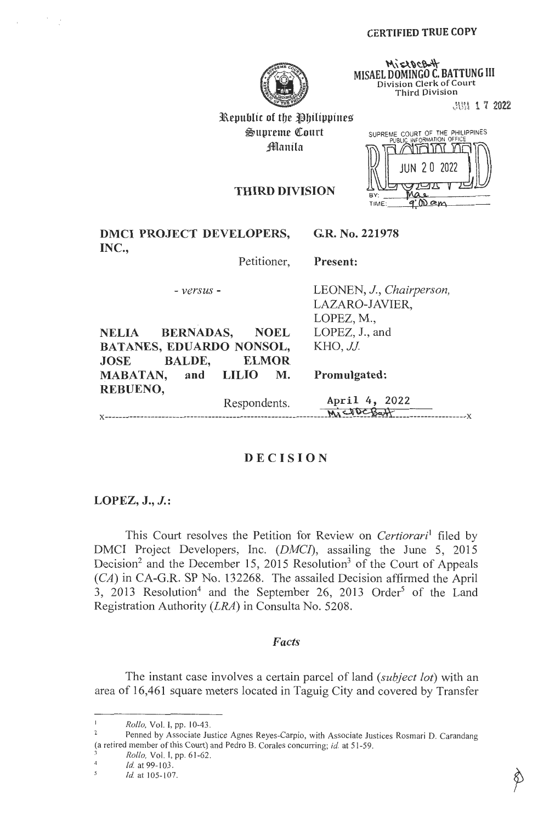

**MISAEL DOMINGO C. BATTUNG III Division Clerk of Court Third Division** 

.. JUN 1 7 **2022** 

Republic of the Philippines  $\mathfrak{S}$ upreme Court **Manila** 

|             | SUPREME COURT OF THE PHILIPPINES<br>PUBLIC INFORMATION OFFICE |
|-------------|---------------------------------------------------------------|
|             |                                                               |
|             | <b>JUN 20 2022</b>                                            |
| BY:         |                                                               |
| <b>TIME</b> |                                                               |

# **THIRD DIVISION**

|       | <b>DMCI PROJECT DEVELOPERS,</b> |  | G.R. No. 221978 |
|-------|---------------------------------|--|-----------------|
| INC., |                                 |  |                 |
|       |                                 |  |                 |

Petitioner, **Present:** 

- *versus* -

**NELIA BERNADAS, NOEL BATANES, EDUARDO NONSOL, JOSE BALDE, ELMOR MABATAN, and LILIO M.**  LEONEN, J., *Chairperson,*  LAZARO-JAVIER, LOPEZ, M., LOPEZ, J., and *KHO, JJ.* 

**Promulgated:** 

Respondents. April 4, 2022  $M_1$   $\leq$   $W_2$   $\leq$   $B$  $\leq$   $W_1$ 

# **DECISION**

## **LOPEZ, J., J.:**

**REBUENO,** 

This Court resolves the Petition for Review on *Certiorari*<sup>1</sup> filed by DMCI Project Developers, Inc. *(DMCI),* assailing the June 5, 2015 Decision<sup>2</sup> and the December 15, 2015 Resolution<sup>3</sup> of the Court of Appeals (CA) in CA-G.R. SP No. 132268. The assailed Decision affirmed the April 3, 2013 Resolution<sup>4</sup> and the September 26, 2013 Order<sup>5</sup> of the Land Registration Authority *(LRA)* in Consulta No. 5208.

## *Facts*

The instant case involves a certain parcel of land *(subject lot)* with an area of 16,461 square meters located in Taguig City and covered by Transfer

*Rollo, Vol. I, pp. 10-43.*<br><sup>2</sup> Penned by Associate Justice Agnes Reyes-Carpio, with Associate Justices Rosmari D. Carandang (a retired member of this Court) and Pedro B. Corales concurring; *id.* at 51-59. 3 *Rollo,* Vol. I, pp. 61-62.

 $\frac{4}{5}$  *Id.* at 99-103.

*Id.* at 105-107.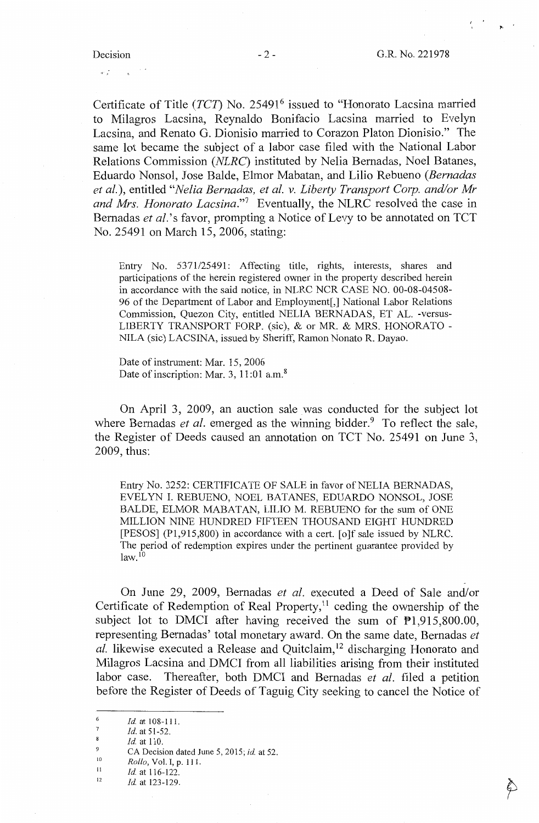$\sim$ 

 $\omega_{\rm eff}^{(1)}$ 

Certificate of Title *(TCT)* No. 25491<sup>6</sup> issued to "Honorato Lacsina married to Milagros Lacsina, Reynaldo Bonifacio Lacsina married to Evelyn Lacsina, and Renato G. Dionisio married to Corazon Platon Dionisio." The same lot became the subject of a labor case filed with the National Labor Relations Commission *(NLRC)* instituted by Nelia Bemadas, Noel Batanes, Eduardo Nonsol, Jose Balde, Elmor Mabatan, and Lilio Rebueno *(Bernadas et al.),* entitled *"Nelia Bernadas, et al. v. Liberty Transport Corp. and/or Mr*  and Mrs. Honorato Lacsina."<sup>7</sup> Eventually, the NLRC resolved the case in Bernadas *et al.*'s favor, prompting a Notice of Levy to be annotated on TCT No. 25491 on March 15, 2006, stating:

Entry No. 5371/25491: Affecting title, rights, interests, shares and participations of the herein registered owner in the property described herein in accordance with the said notice, in NLRC NCR CASE NO. 00-08-04508- 96 of the Department of Labor and Employment[,] National Labor Relations Commission, Quezon City, entitled NELIA BERNADAS, ET AL. -versus-LIBERTY TRANSPORT FORP. (sic), & or MR. & MRS. HONORATO - NILA (sic) LACSINA, issued by Sheriff, Ramon Nonato R. Dayao.

Date of instrument: Mar. 15, 2006 Date of inscription: Mar. 3, 11:01 a.m.<sup>8</sup>

On April 3, 2009, an auction sale was conducted for the subject lot where Bernadas *et al.* emerged as the winning bidder.<sup>9</sup> To reflect the sale, the Register of Deeds caused an annotation on TCT No. 25491 on June 3, 2009, thus:

Entry No. 3252: CERTIFICATE OF SALE in favor of NELIA BERNADAS, EVELYN I. REBUENO, NOEL BATANES, EDUARDO NONSOL, JOSE BALDE, ELMOR MABATAN, LILIO M. REBUENO for the sum of ONE MILLION NINE HUNDRED FIFTEEN THOUSAND EIGHT HUNDRED [PESOS] (Pl,915,800) in accordance with a cert. [o]f sale issued by NLRC. The period of redemption expires under the pertinent guarantee provided by  $law.<sup>10</sup>$ 

On June 29, 2009, Bernadas *et al.* executed a Deed of Sale and/or Certificate of Redemption of Real Property,<sup>11</sup> ceding the ownership of the subject lot to DMCI after having received the sum of  $\overline{P}1,915,800.00$ , representing Bernadas' total monetary award. On the same date, Bernadas *et al.* likewise executed a Release and Quitclaim,<sup>12</sup> discharging Honorato and Milagros Lacsina and DMCI from all liabilities arising from their instituted labor case. Thereafter, both DMCI and Bernadas *et al.* filed a petition before the Register of Deeds of Taguig City seeking to cancel the Notice of

<sup>6</sup>  *Id.* at 108-111.

<sup>7</sup>  8 *Id.* at 51-52.

<sup>9</sup>  *Id.* at 110.

<sup>10</sup>  CA Decision dated June 5, 2015; *id.* at 52.

*Rollo,* Vol. I, p. 111.

<sup>11</sup>  *Id.* at 116-122.

<sup>12</sup>  *Id.* at 123-129.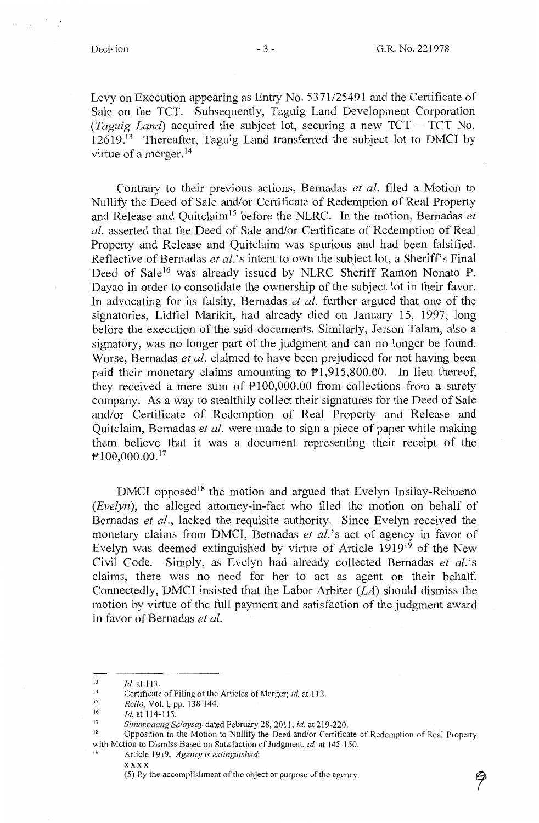Levy on Execution appearing as Entry No. 5371/25491 and the Certificate of Sale on the TCT. Subsequently, Taguig Land Development Corporation *(Taguig Land)* acquired the subject lot, securing a new TCT - TCT No.  $12619$ <sup> $13$ </sup> Thereafter, Taguig Land transferred the subject lot to DMCI by virtue of a merger. <sup>14</sup>

Contrary to their previous actions, Bemadas *et al.* filed a Motion to Nullify the Deed of Sale and/or Certificate of Redemption of Real Property and Release and Ouitclaim<sup>15</sup> before the NLRC. In the motion, Bernadas *et al.* asserted that the Deed of Sale and/or Certificate of Redemption of Real Property and Release and Quitclaim was spurious and had been falsified. Reflective of Bernadas *et al.*'s intent to own the subject lot, a Sheriff's Final Deed of Sale<sup>16</sup> was already issued by NLRC Sheriff Ramon Nonato P. Dayao in order to consolidate the ownership of the subject lot in their favor. In advocating for its falsity, Bernadas *et al.* further argued that one of the signatories, Lidfiel Marikit, had already died on January 15, 1997, long before the execution of the said documents. Similarly, Jerson Talam, also a signatory, was no longer part of the judgment and can no longer be found. Worse, Bernadas *et al.* claimed to have been prejudiced for not having been paid their monetary claims amounting to  $P1.915.800.00$ . In lieu thereof, they received a mere sum of  $P100,000.00$  from collections from a surety company. As a way to stealthily collect their signatures for the Deed of Sale and/or Certificate of Redemption of Real Property and Release and Quitclaim, Bemadas *et al.* were made to sign a piece of paper while making them believe that it was a document representing their receipt of the  $P100,000.00$ .<sup>17</sup>

 $DMCI$  opposed<sup>18</sup> the motion and argued that Evelyn Insilay-Rebueno *(Evelyn),* the alleged attorney-in-fact who filed the motion on behalf of Bernadas *et al.,* lacked the requisite authority. Since Evelyn received the monetary claims from DMCI, Bernadas *et al.*'s act of agency in favor of Evelyn was deemed extinguished by virtue of Article  $1919^{19}$  of the New Civil Code. Simply, as Evelyn had already collected Bemadas *et al.'s*  claims, there was no need for her to act as agent on their behalf. Connectedly, DMCI insisted that the Labor Arbiter *(LA)* should dismiss the motion by virtue of the full payment and satisfaction of the judgment award in favor of Bernadas *et al.* 

xxxx

<sup>13</sup>  *Id.* at 113.

<sup>14</sup>  Certificate of Filing of the Articles of Merger; *id.* at 112.

<sup>15</sup>  *Rollo,* Vol. I, pp. 138-144.

<sup>16</sup>  *Id.* at 114-115.

<sup>17</sup> *Sinumpaang Salaysay* dated February 28, 2011; *id.* at 219-220.

Opposition to the Motion to Nullify the Deed and/or Certificate of Redemption of Real Property with Motion to Dismiss Based on Satisfaction of Judgment, *id.* at 145-150.<br><sup>19</sup> Article 1919. *Agency is extinguished*:

<sup>(5)</sup> By the accomplishment of the object or purpose of the agency.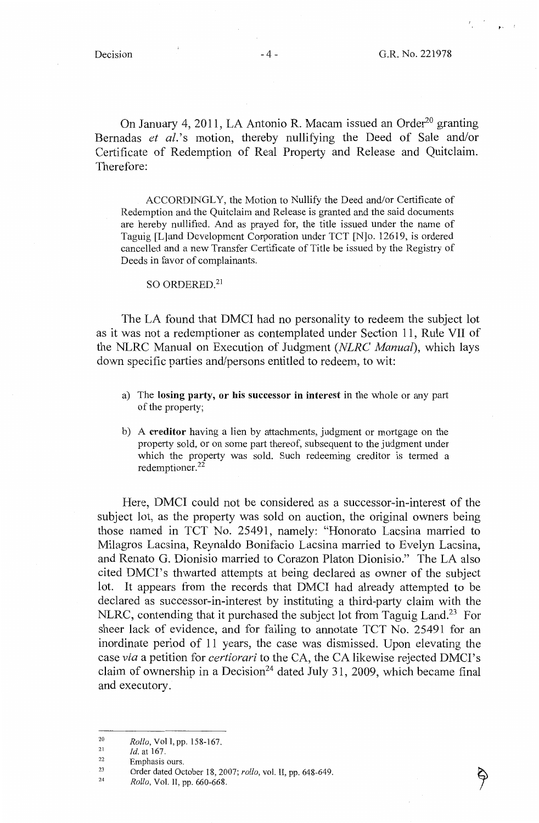. '

On January 4, 2011, LA Antonio R. Macam issued an Order<sup>20</sup> granting Bernadas *et al.*'s motion, thereby nullifying the Deed of Sale and/or Certificate of Redemption of Real Property and Release and Quitclaim. Therefore:

ACCORDINGLY, the Motion to Nullify the Deed and/or Certificate of Redemption and the Quitclaim and Release is granted and the said documents are hereby nullified. And as prayed for, the title issued under the name of Taguig [L]and Development Corporation under TCT [N]o. 12619, is ordered cancelled and a new Transfer Certificate of Title be issued by the Registry of Deeds in favor of complainants.

SO ORDERED<sup>21</sup>

The LA found that DMCI had no personality to redeem the subject lot as it was not a redemptioner as contemplated under Section 11, Rule VII of the NLRC Manual on Execution of Judgment *(NLRC Manual),* which lays down specific parties and/persons entitled to redeem, to wit:

- a) The **losing party, or his successor in interest** in the whole or any part of the property;
- b) A **creditor** having a lien by attachments, judgment or mortgage on the property sold, or on some part thereof, subsequent to the judgment under which the property was sold. Such redeeming creditor is termed a redemptioner.<sup>22</sup>

Here, DMCI could not be considered as a successor-in-interest of the subject lot, as the property was sold on auction, the original owners being those named in TCT No. 25491, namely: "Honorato Lacsina married to Milagros Lacsina, Reynaldo Bonifacio Lacsina married to Evelyn Lacsina, and Renato G. Dionisio married to Corazon Platon Dionisio." The LA also cited DMCI's thwarted attempts at being declared as owner of the subject lot. It appears from the records that DMCI had already attempted to be declared as successor-in-interest by instituting a third-party claim with the NLRC, contending that it purchased the subject lot from Taguig Land.<sup>23</sup> For sheer lack of evidence, and for failing to annotate TCT No. 25491 for an inordinate period of 11 years, the case was dismissed. Upon elevating the case *via* a petition for *certiorari* to the CA, the CA likewise rejected DMCI's claim of ownership in a Decision<sup>24</sup> dated July 31, 2009, which became final and executory.

24 *Rollo,* Vol. II, pp. 660-668.

<sup>20</sup>  *Rollo,* Vol I, pp. 158-167.

<sup>21</sup>  *Id.* at 167.

<sup>22</sup>  Emphasis ours.

<sup>23</sup>  Order dated October 18, 2007; *rollo,* vol. II, pp. 648-649.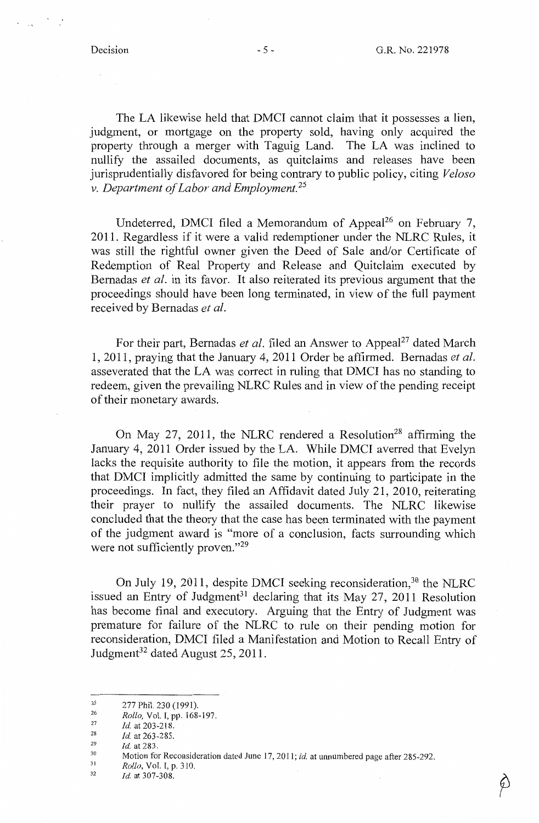The LA likewise held that DMCI cannot claim that it possesses a lien, judgment, or mortgage on the property sold, having only acquired the property through a merger with Taguig Land. The LA was inclined to nullify the assailed documents, as quitclaims and releases have been jurisprudentially disfavored for being contrary to public policy, citing *Veloso v. Department of Labor and Employment.* <sup>25</sup>

Undeterred, DMCI filed a Memorandum of Appeal<sup>26</sup> on February 7. 2011. Regardless if it were a valid redemptioner under the NLRC Rules, it was still the rightful owner given the Deed of Sale and/or Certificate of Redemption of Real Property and Release and Quitclaim executed by Bernadas *et al.* in its favor. It also reiterated its previous argument that the proceedings should have been long terminated, in view of the full payment received by Bernadas *et al.* 

For their part, Bernadas *et al.* filed an Answer to Appeal<sup>27</sup> dated March 1, 2011, praying that the January 4, 2011 Order be affirmed. Bemadas *et al.*  asseverated that the LA was correct in ruling that DMCI has no standing to redeem, given the prevailing NLRC Rules and in view of the pending receipt of their monetary awards.

On May 27, 2011, the NLRC rendered a Resolution<sup>28</sup> affirming the January 4, 2011 Order issued by the LA. While DMCI averred that Evelyn lacks the requisite authority to file the motion, it appears from the records that DMCI implicitly admitted the same by continuing to participate in the proceedings. In fact, they filed an Affidavit dated July 21, 2010, reiterating their prayer to nullify the assailed documents. The NLRC likewise concluded that the theory that the case has been terminated with the payment of the judgment award is "more of a conclusion, facts surrounding which were not sufficiently proven."<sup>29</sup>

On July 19, 2011, despite DMCI seeking reconsideration.<sup>30</sup> the NLRC issued an Entry of Judgment<sup>31</sup> declaring that its May  $27$ ,  $2011$  Resolution has become final and executory. Arguing that the Entry of Judgment was premature for failure of the NLRC to rule on their pending motion for reconsideration, DMCI filed a Manifestation and Motion to Recall Entry of Judgment<sup>32</sup> dated August 25, 2011.

- 31 *Rollo,* Vol. I, p. 310.
- 32 *Id.* at 307-308.

<sup>25</sup>  277 Phil. 230 (1991).

<sup>26</sup>  27 *Rollo,* Vol. I, pp. 168-197.

<sup>28</sup>  *Id.* at 203-218.

<sup>29</sup>  *Id.* at 263-285.

<sup>30</sup>  *Id.* at 283.

Motion for Reconsideration dated June 17, 2011; *id.* at unnumbered page after 285-292.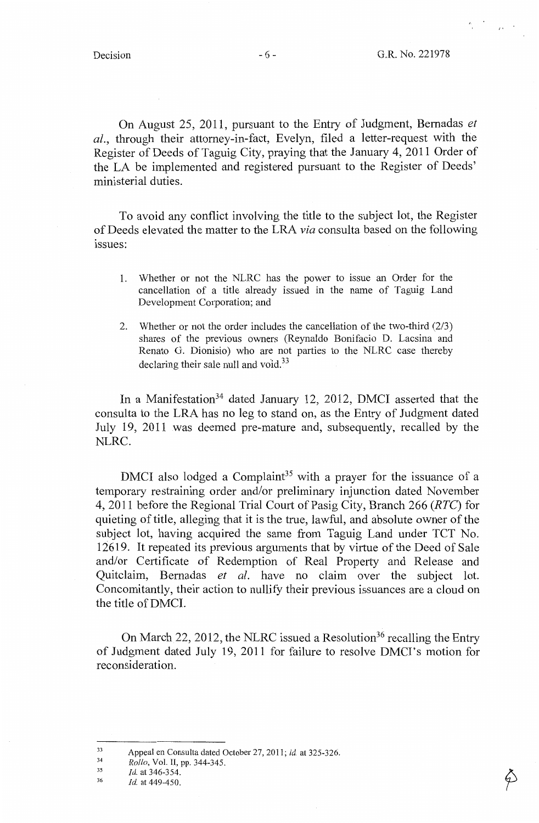$\label{eq:2.1} \frac{d\mathbf{y}}{dt} = \frac{d\mathbf{y}}{dt} = \frac{1}{\sqrt{2\pi}}\frac{d\mathbf{y}}{dt}$ 

On August 25, 2011, pursuant to the Entry of Judgment, Bemadas *et al.,* through their attorney-in-fact, Evelyn, filed a letter-request with the Register of Deeds of Taguig City, praying that the January 4, 2011 Order of the LA be implemented and registered pursuant to the Register of Deeds' ministerial duties.

To avoid any conflict involving the title to the subject lot, the Register of Deeds elevated the matter to the LRA *via* consulta based on the following issues:

- 1. Whether or not the NLRC has the power to issue an Order for the cancellation of a title already issued in the name of Taguig Land Development Corporation; and
- 2. Whether or not the order includes the cancellation of the two-third (2/3) shares of the previous owners (Reynaldo Bonifacio D. Lacsina and Renato G. Dionisio) who are not parties to the NLRC case thereby declaring their sale null and void.<sup>33</sup>

In a Manifestation<sup>34</sup> dated January 12, 2012, DMCI asserted that the consulta to the LRA has no leg to stand on, as the Entry of Judgment dated July 19, 2011 was deemed pre-mature and, subsequently, recalled by the NLRC.

DMCI also lodged a Complaint<sup>35</sup> with a prayer for the issuance of a temporary restraining order and/or preliminary injunction dated November 4, 2011 before the Regional Trial Court of Pasig City, Branch 266 *(RTC)* for quieting of title, alleging that it is the true, lawful, and absolute owner of the subject lot, having acquired the same from Taguig Land under TCT No. 12619. It repeated its previous arguments that by virtue of the Deed of Sale and/or Certificate of Redemption of Real Property and Release and Quitclaim, Bernadas *et al.* have no claim over the subject lot. Concomitantly, their action to nullify their previous issuances are a cloud on the title of DMCI.

On March 22, 2012, the NLRC issued a Resolution<sup>36</sup> recalling the Entry of Judgment dated July 19, 2011 for failure to resolve DMCI's motion for reconsideration.

<sup>33</sup>  Appeal en Consulta dated October 27,201 I; *id.* at 325-326.

<sup>34</sup>  *Rollo,* Vol. II, pp. 344-345.

<sup>35</sup>  *Id.* at 346-354.

<sup>36</sup>  *Id.* at 449-450.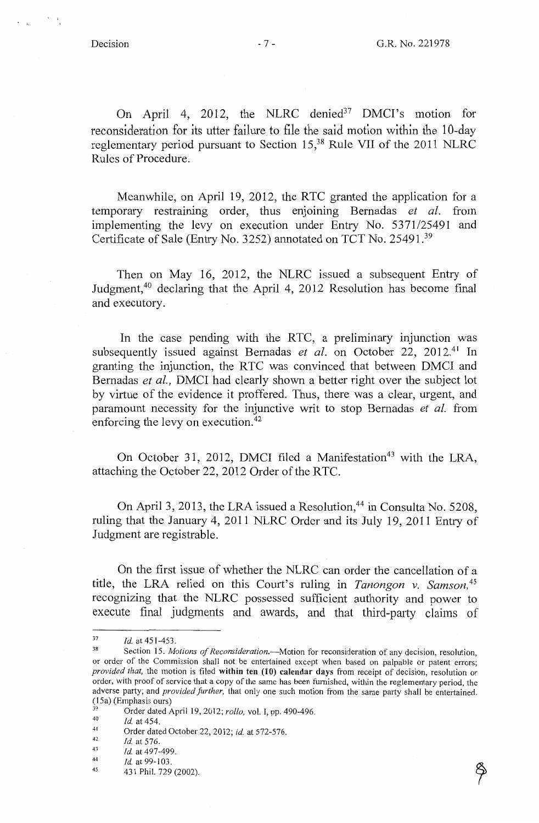On April 4, 2012, the NLRC denied<sup>37</sup> DMCI's motion for reconsideration for its utter failure to file the said motion within the 10-day reglementary period pursuant to Section 15,38 Rule VII of the 2011 NLRC Rules of Procedure.

Meanwhile, on April 19, 2012, the RTC granted the application for a temporary restraining order, thus enjoining Bemadas *et al.* from implementing the levy on execution under Entry No. 5371/25491 and Certificate of Sale (Entry No. 3252) annotated on TCT No. 25491.39

Then on May 16, 2012, the NLRC issued a subsequent Entry of Judgment,40 declaring that the April 4, 2012 Resolution has become final and executory.

In the case pending with the RTC, a preliminary injunction was subsequently issued against Bernadas *et al.* on October 22, 2012.<sup>41</sup> In granting the injunction, the RTC was convinced that between DMCI and Bemadas *et al.,* DMCI had clearly shown a better right over the subject lot by virtue of the evidence it proffered. Thus, there was a clear, urgent, and paramount necessity for the injunctive writ to stop Bemadas *et al.* from enforcing the levy on execution.<sup>42</sup>

On October 31, 2012, DMCI filed a Manifestation<sup>43</sup> with the LRA, attaching the October 22, 2012 Order of the RTC.

On April 3, 2013, the LRA issued a Resolution,<sup>44</sup> in Consulta No. 5208, ruling that the January 4, 2011 NLRC Order and its July 19, 2011 Entry of Judgment are registrable.

On the first issue of whether the NLRC can order the cancellation of a title, the LRA relied on this Court's ruling in *Tanongon v. Samson, <sup>45</sup>* recognizing that the NLRC possessed sufficient authority and power to execute final judgments and awards, and that third-party claims of

<sup>&</sup>lt;sup>37</sup> *Id.* at 451-453.<br><sup>38</sup> Section 15. *Motions of Reconsideration*.—Motion for reconsideration of any decision, resolution or order of the Commission shall not be entertained except when based on palpable or patent errors; *provided that,* the motion is filed **within ten (10) calendar days** from receipt of decision, resolution or order, with proof of service that a copy of the same has been furnished, within the reglementary period, the adverse party; and *provided further*, that only one such motion from the same party shall be entertained. (15a) (Emphasis ours)

<sup>&</sup>lt;sup>39</sup> Order dated April 19, 2012; *rollo*, vol. I, pp. 490-496.<br><sup>40</sup> *Id.* at 454.

<sup>41</sup>  Order dated October 22, 2012; *id.* at 572-576.

<sup>42</sup>  43 *Id.* at 576.

*Id.* at 497-499.

<sup>44</sup>  *Id.* at 99-103.

<sup>45</sup>  431 Phil. 729 (2002).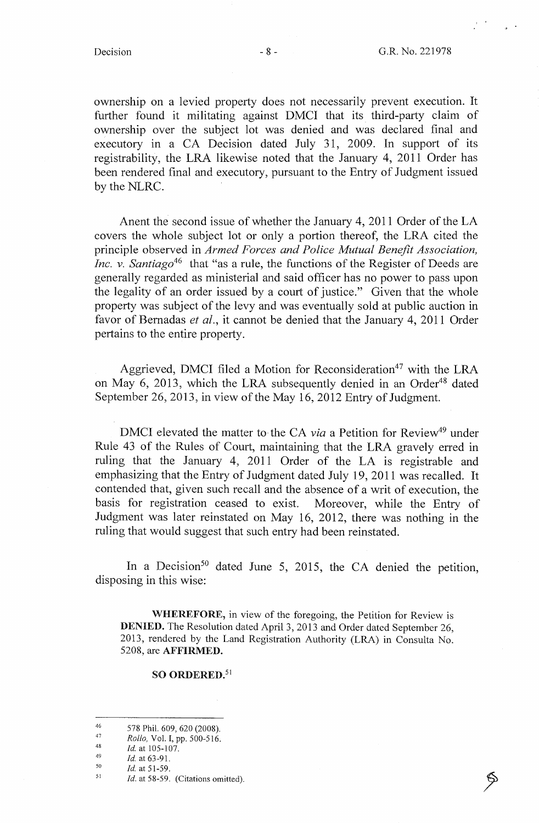ownership on a levied property does not necessarily prevent execution. It further found it militating against DMCI that its third-party claim of ownership over the subject lot was denied and was declared final and executory in a CA Decision dated July 31, 2009. In support of its registrability, the LRA likewise noted that the January 4, 2011 Order has been rendered final and executory, pursuant to the Entry of Judgment issued by the NLRC.

Anent the second issue of whether the January 4, 2011 Order of the LA covers the whole subject lot or only a portion thereof, the LRA cited the principle observed in *Armed Forces and Police Mutual Benefit Association, Inc. v. Santiago*<sup>46</sup> that "as a rule, the functions of the Register of Deeds are generally regarded as ministerial and said officer has no power to pass upon the legality of an order issued by a court of justice." Given that the whole property was subject of the levy and was eventually sold at public auction in favor of Bernadas *et al.,* it cannot be denied that the January 4, 2011 Order pertains to the entire property.

Aggrieved, DMCI filed a Motion for Reconsideration<sup>47</sup> with the LRA on May 6, 2013, which the LRA subsequently denied in an Order<sup>48</sup> dated September 26, 2013, in view of the May 16, 2012 Entry of Judgment.

DMCI elevated the matter to the CA *via* a Petition for Review<sup>49</sup> under Rule 43 of the Rules of Court, maintaining that the LRA gravely erred in ruling that the January 4, 2011 Order of the LA is registrable and emphasizing that the Entry of Judgment dated July 19, 2011 was recalled. It contended that, given such recall and the absence of a writ of execution, the basis for registration ceased to exist. Moreover, while the Entry of Judgment was later reinstated on May 16, 2012, there was nothing in the ruling that would suggest that such entry had been reinstated.

In a Decision<sup>50</sup> dated June 5, 2015, the CA denied the petition, disposing in this wise:

**WHEREFORE,** in view of the foregoing, the Petition for Review is **DENIED.** The Resolution dated April 3, 2013 and Order dated September 26, 2013, rendered by the Land Registration Authority (LRA) in Consulta No. 5208, are **AFFIRMED.** 

## so **ORDERED. <sup>51</sup>**

48 49 *Id.* at 105-107.

*Id.* at 51-59.

<sup>46</sup>  47 578 Phil. 609, 620 (2008).

*Rollo,* Vol. I, pp. 500-516.

<sup>50</sup>  *Id.* at 63-91.

<sup>51</sup>  Id. at 58-59. (Citations omitted).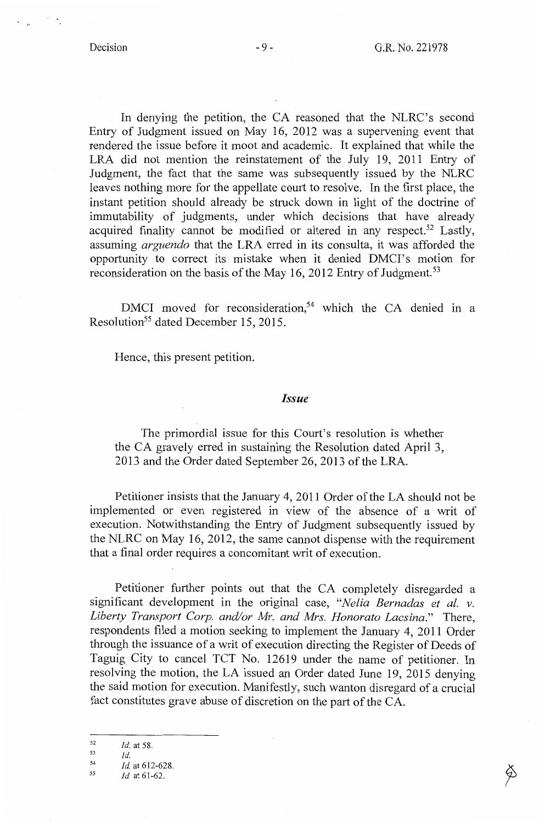In denying the petition, the CA reasoned that the NLRC's second Entry of Judgment issued on May 16, 2012 was a supervening event that rendered the issue before it moot and academic. It explained that while the LRA did not mention the reinstatement of the July 19, 2011 Entry of Judgment, the fact that the same was subsequently issued by the NLRC leaves nothing more for the appellate court to resolve. In the first place, the instant petition should already be struck down in light of the doctrine of immutability of judgments, under which decisions that have already acquired finality cannot be modified or altered in any respect.<sup>52</sup> Lastly, assuming *arguendo* that the LRA erred in its consulta, it was afforded the opportunity to correct its mistake when it denied DMCI's motion for reconsideration on the basis of the May 16, 2012 Entry of Judgment.<sup>53</sup>

DMCI moved for reconsideration,<sup>54</sup> which the CA denied in a Resolution<sup>55</sup> dated December 15, 2015.

Hence, this present petition.

### *Issue*

The primordial issue for this Court's resolution is whether the CA gravely erred in sustaining the Resolution dated April 3, 2013 and the Order dated September 26, 2013 of the LRA.

Petitioner insists that the January 4, 2011 Order of the LA should not be implemented or even registered in view of the absence of a writ of execution. Notwithstanding the Entry of Judgment subsequently issued by the NLRC on May 16, 2012, the same cannot dispense with the requirement that a final order requires a concomitant writ of execution.

Petitioner further points out that the CA completely disregarded a significant development in the original case, *"Nelia Bernadas et al. v. Liberty Transport Corp. and/or Mr. and Mrs. Honorato Lacsina."* There, respondents filed a motion seeking to implement the January 4, 2011 Order through the issuance of a writ of execution directing the Register of Deeds of Taguig City to cancel TCT No. 12619 under the name of petitioner. In resolving the motion, the LA issued an Order dated June 19, 2015 denying the said motion for execution. Manifestly, such wanton disregard of a crucial fact constitutes grave abuse of discretion on the part of the CA.

<sup>52</sup>  *Id.* at 58.

<sup>53</sup>  *Id.* 

<sup>54</sup>  55 *Id.* at 612-628.

*Id.* at 61-62.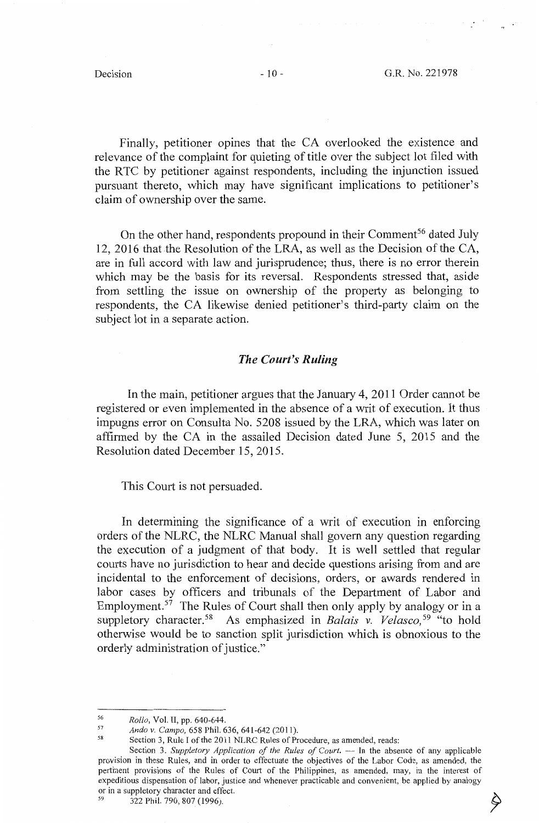Finally, petitioner opines that the CA overlooked the existence and relevance of the complaint for quieting of title over the subject lot filed with the RTC by petitioner against respondents, including the injunction issued pursuant thereto, which may have significant implications to petitioner's claim of ownership over the same.

On the other hand, respondents propound in their Comment<sup>56</sup> dated July 12, 2016 that the Resolution of the LRA, as well as the Decision of the CA, are in full accord with law and jurisprudence; thus, there is no error therein which may be the basis for its reversal. Respondents stressed that, aside from settling the issue on ownership of the property as belonging to respondents, the CA likewise denied petitioner's third-party claim on the subject lot in a separate action.

## *The Court's Ruling*

In the main, petitioner argues that the January 4, 2011 Order cannot be registered or even implemented in the absence of a writ of execution. It thus impugns error on Consulta No. 5208 issued by the LRA, which was later on affirmed by the CA in the assailed Decision dated June 5, 2015 and the Resolution dated December 15, 2015.

This Court is not persuaded.

In determining the significance of a writ of execution in enforcing orders of the NLRC, the NLRC Manual shall govern any question regarding the execution of a judgment of that body. It is well settled that regular courts have no jurisdiction to hear and decide questions arising from and are incidental to the enforcement of decisions, orders, or awards rendered in labor cases by officers and tribunals of the Department of Labor and Employment.<sup>57</sup> The Rules of Court shall then only apply by analogy or in a suppletory character.<sup>58</sup> As emphasized in *Balais v. Velasco*,<sup>59</sup> "to hold otherwise would be to sanction split jurisdiction which is obnoxious to the orderly administration of justice."

<sup>56</sup> *Rollo*, Vol. II, pp. 640-644.<br>
57 *Ando v. Campo,* 658 Phil. 636, 641-642 (2011).<br>
58 Section 3, Rule I of the 2011 NLRC Rules of Procedure, as amended, reads:

Section 3. Suppletory Application of the Rules of Court. -- In the absence of any applicable provision in these Rules, and in order to effectuate the objectives of the Labor Code, as amended, the pertinent provisions of the Rules of Court of the Philippines, as amended, may, in the interest of expeditious dispensation of labor, justice and whenever practicable and convenient, be applied by analogy or in a suppletory character and effect.<br>
<sup>59</sup> 322 Phil. 790, 807 (1996).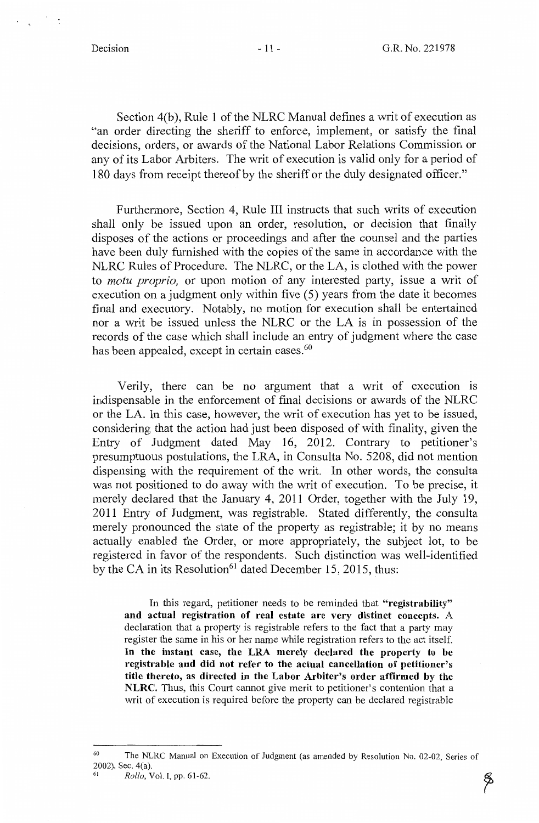Section 4(b), Rule 1 of the NLRC Manual defines a writ of execution as "an order directing the sheriff to enforce, implement, or satisfy the final decisions, orders, or awards of the National Labor Relations Commission or any of its Labor Arbiters. The writ of execution is valid only for a period of 180 days from receipt thereof by the sheriff or the duly designated officer."

Furthermore, Section 4, Rule III instructs that such writs of execution shall only be issued upon an order, resolution, or decision that finally disposes of the actions or proceedings and after the counsel and the parties have been duly furnished with the copies of the same in accordance with the NLRC Rules of Procedure. The NLRC, or the LA, is clothed with the power to *motu proprio,* or upon motion of any interested party, issue a writ of execution on a judgment only within five (5) years from the date it becomes final and executory. Notably, no motion for execution shall be entertained nor a writ be issued unless the NLRC or the LA is in possession of the records of the case which shall include an entry of judgment where the case has been appealed, except in certain cases.<sup>60</sup>

Verily, there can be no argument that a writ of execution is indispensable in the enforcement of final decisions or awards of the NLRC or the LA. In this case, however, the writ of execution has yet to be issued, considering that the action had just been disposed of with finality, given the Entry of Judgment dated May 16, 2012. Contrary to petitioner's presumptuous postulations, the LRA, in Consulta No. 5208, did not mention dispensing with the requirement of the writ. In other words, the consulta was not positioned to do away with the writ of execution. To be precise, it merely declared that the January 4, 2011 Order, together with the July 19, 2011 Entry of Judgment, was registrable. Stated differently, the consulta merely pronounced the state of the property as registrable; it by no means actually enabled the Order, or more appropriately, the subject lot, to be registered in favor of the respondents. Such distinction was well-identified by the CA in its Resolution<sup>61</sup> dated December 15, 2015, thus:

In this regard, petitioner needs to be reminded that **"registrability" and actual registration of real estate are very distinct concepts.** A declaration that a property is registrable refers to the fact that a party may register the same in his or her name while registration refers to the act itself. **In the instant case, the LRA merely declared the property to be registrable and did not refer to the actual cancellation of petitioner's title thereto, as directed in the Labor Arbiter's order affirmed by the NLRC.** Thus, this Court cannot give merit to petitioner's contention that a writ of execution is required before the property can be declared registrable

<sup>60</sup> The NLRC Manual on Execution of Judgment (as amended by Resolution No. 02-02, Series of 2002), Sec. 4(a).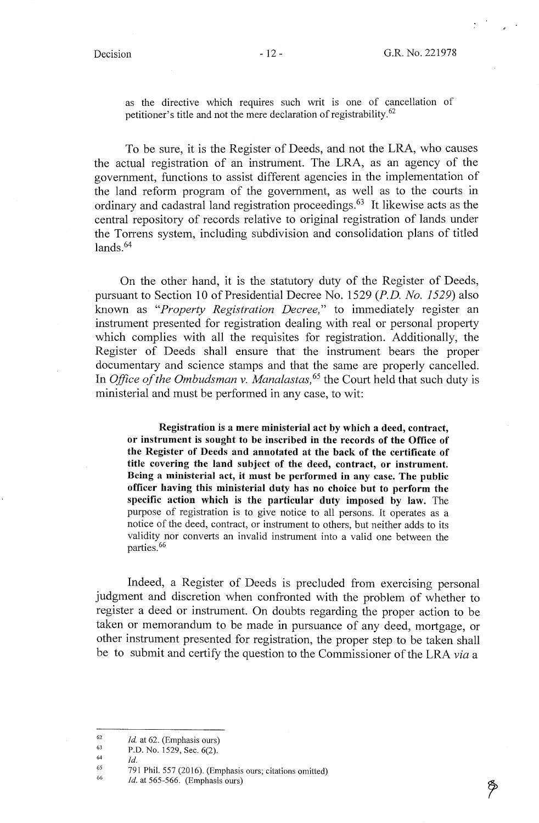as the directive which requires such writ is one of cancellation of petitioner's title and not the mere declaration of registrability.<sup>62</sup>

To be sure, it is the Register of Deeds, and not the LRA, who causes the actual registration of an instrument. The LRA, as an agency of the government, functions to assist different agencies in the implementation of the land reform program of the government, as well as to the courts in ordinary and cadastral land registration proceedings.<sup>63</sup> It likewise acts as the central repository of records relative to original registration of lands under the Torrens system, including subdivision and consolidation plans of titled  $lands<sup>64</sup>$ 

On the other hand, it is the statutory duty of the Register of Deeds, pursuant to Section 10 of Presidential Decree No. 1529 *(P.D. No. 1529)* also known as *"Property Registration Decree,"* to immediately register an instrument presented for registration dealing with real or personal property which complies with all the requisites for registration. Additionally, the Register of Deeds shall ensure that the instrument bears the proper documentary and science stamps and that the same are properly cancelled. In *Office of the Ombudsman v. Manalastas,* 65 the Court held that such duty is ministerial and must be performed in any case, to wit:

**Registration** is **a mere ministerial act by which a deed, contract, or instrument is sought to be inscribed in the records of the Office of the Register of Deeds and annotated at the back of the certificate of title covering the land subject of the deed, contract, or instrument. Being a ministerial act, it must be performed in any case. The public officer having this ministerial duty has no choice but to perform the specific action which** is **the particular duty imposed by law.** The purpose of registration is to give notice to all persons. It operates as a notice of the deed, contract, or instrument to others, but neither adds to its validity nor converts an invalid instrument into a valid one between the parties.<sup>66</sup>

Indeed, a Register of Deeds is precluded from exercising personal judgment and discretion when confronted with the problem of whether to register a deed or instrument. On doubts regarding the proper action to be taken or memorandum to be made in pursuance of any deed, mortgage, or other instrument presented for registration, the proper step to be taken shall be to submit and certify the question to the Commissioner of the LRA *via* a

66 *Id.* at 565-566. (Emphasis ours)

<sup>62</sup>  *Id.* at 62. (Emphasis ours)

<sup>63</sup>  P.D. No. 1529, Sec. 6(2).

<sup>64</sup>  *Id.* 

<sup>65</sup>  791 Phil. 557 (2016). (Emphasis ours; citations omitted)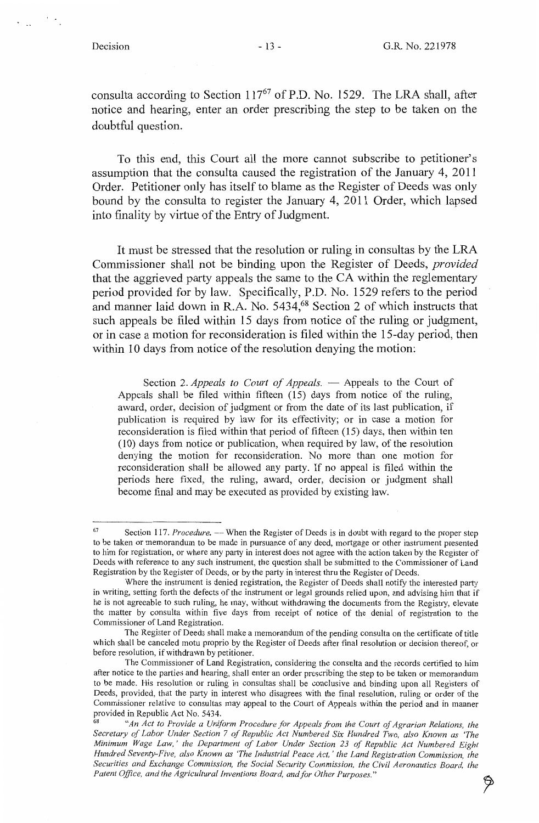consulta according to Section  $117^{67}$  of P.D. No. 1529. The LRA shall, after notice and hearing, enter an order prescribing the step to be taken on the doubtful question.

To this end, this Court all the more cannot subscribe to petitioner's assumption that the consulta caused the registration of the January 4, 2011 Order. Petitioner only has itself to blame as the Register of Deeds was only bound by the consulta to register the January 4, 2011 Order, which lapsed into finality by virtue of the Entry of Judgment.

It must be stressed that the resolution or ruling in consultas by the LRA Commissioner shall not be binding upon the Register of Deeds, *provided*  that the aggrieved party appeals the same to the CA within the reglementary period provided for by law. Specifically, P.D. No. 1529 refers to the period and manner laid down in R.A. No. 5434,<sup>68</sup> Section 2 of which instructs that such appeals be filed within 15 days from notice of the ruling or judgment, or in case a motion for reconsideration is filed within the 15-day period, then within 10 days from notice of the resolution denying the motion:

Section 2. *Appeals to Court of Appeals.* - Appeals to the Court of Appeals shall be filed within fifteen (15) days from notice of the ruling, award, order, decision of judgment or from the date of its last publication, if publication is required by law for its effectivity; or in case a motion for reconsideration is filed within that period of fifteen (15) days, then within ten (10) days from notice or publication, when required by law, of the resolution denying the motion for reconsideration. No more than one motion for reconsideration shall be allowed any party. If no appeal is filed within the periods here fixed, the ruling, award, order, decision or judgment shall become final and may be executed as provided by existing law.

Q

<sup>&</sup>lt;sup>67</sup> Section 117. *Procedure*. — When the Register of Deeds is in doubt with regard to the proper step to be taken or memorandum to be made in pursuance of any deed, mortgage or other instrument presented to him for registration, or where any party in interest does not agree with the action taken by the Register of Deeds with reference to any such instrument, the question shall be submitted to the Commissioner of Land Registration by the Register of Deeds, or by the party in interest thru the Register of Deeds.

Where the instrument is denied registration, the Register of Deeds shall notify the interested party in writing, setting forth the defects of the instrument or legal grounds relied upon, and advising him that if he is not agreeable to such ruling, he may, without withdrawing the documents from the Registry, elevate the matter by consulta within five days from receipt of notice of the denial of registration to the Commissioner of Land Registration.

The Register of Deeds shall make a memorandum of the pending consulta on the certificate of title which shall be canceled motu proprio by the Register of Deeds after final resolution or decision thereof, or before resolution, if withdrawn by petitioner.

The Commissioner of Land Registration, considering the consulta and the records certified to him after notice to the parties and hearing, shall enter an order prescribing the step to be taken or memorandum to be made. His resolution or ruling in consultas shall be conclusive and binding upon all Registers of Deeds, provided, that the party in interest who disagrees with the final resolution, ruling or order of the Commissioner relative to consultas may appeal to the Court of Appeals within the period and in manner

<sup>&</sup>quot;An Act to Provide a Uniform Procedure for Appeals from the Court of Agrarian Relations, the *Secretary of Labor Under Section* 7 *of Republic Act Numbered Six Hundred Two, also Known as 'The Minimum Wage Law,' the Department of Labor Under Section 23 of Republic Act Numbered Eight Hundred Seventy-Five, also Known as 'The Industrial Peace Act,' the Land Registration Commission, the Securities and Exchange Commission, the Social Security Commission, the Civil Aeronautics Board, the*  Patent Office, and the Agricultural Inventions Board, and for Other Purposes."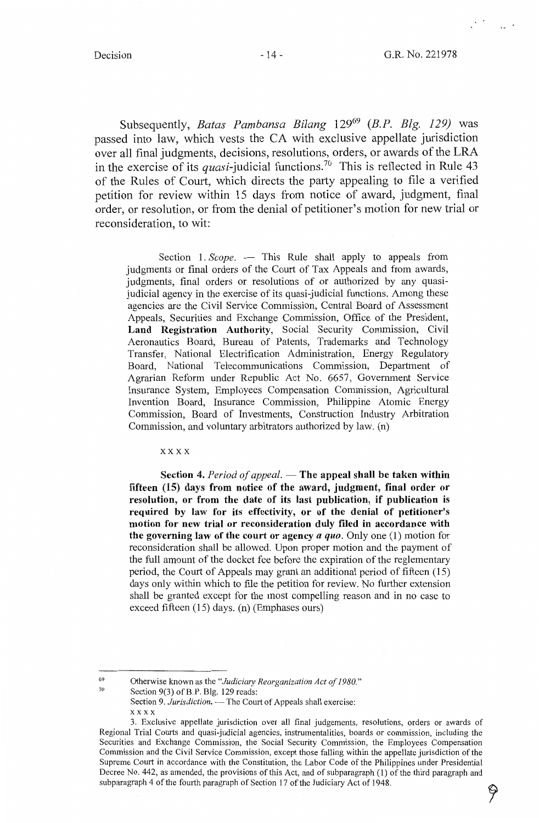Subsequently, *Batas Pambansa Bilang* 129<sup>69</sup>*(B.P. Blg. 129)* was passed into law, which vests the CA with exclusive appellate jurisdiction over all final judgments, decisions, resolutions, orders, or awards of the LRA in the exercise of its *quasi*-judicial functions.<sup>70</sup> This is reflected in Rule 43 of the Rules of Court, which directs the party appealing to file a verified petition for review within 15 days from notice of award, judgment, final order, or resolution, or from the denial of petitioner's motion for new trial or reconsideration, to wit:

Section 1. *Scope.* — This Rule shall apply to appeals from judgments or final orders of the Court of Tax Appeals and from awards, judgments, final orders or resolutions of or authorized by any quasijudicial agency in the exercise of its quasi-judicial functions. Among these agencies are the Civil Service Commission, Central Board of Assessment Appeals, Securities and Exchange Commission, Office of the President, **Land Registration Authority,** Social Security Commission, Civil Aeronautics Board, Bureau of Patents, Trademarks and Technology Transfer, National Electrification Administration, Energy Regulatory Board, National Telecommunications Commission, Department of Agrarian Reform under Republic Act No. 6657, Govermnent Service Insurance System, Employees Compensation Commission, Agricultural Invention Board, Insurance Commission, Philippine Atomic Energy Commission, Board of Investments, Construction Industry Arbitration Commission, and voluntary arbitrators authorized by law. (n)

**xxxx** 

**Section 4.** *Period of appeal.* — **The appeal shall be taken within fifteen (15) days from notice of the award, judgment, final order or resolution, or from the date of its last publication, if publication is required by law for its effectivity, or of the denial of petitioner's motion for new trial or reconsideration duly filed in accordance with the governing law of the court or agency** *a quo.* Only one (1) motion for reconsideration shall be allowed. Upon proper motion and the payment of the full amount of the docket fee before the expiration of the reglementary period, the Court of Appeals may grant an additional period of fifteen (15) days only within which to file the petition for review. No further extension shall be granted except for the most compelling reason and in no case to exceed fifteen (15) days. (n) (Emphases ours)

69 70 Otherwise known as the *"Judiciary Reorganization Act of 1980."* 

Section 9(3) of B.P. Blg. 129 reads:

Section 9. *Jurisdiction*. — The Court of Appeals shall exercise: xxxx

<sup>3.</sup> Exclusive appellate jurisdiction over all final judgements, resolutions, orders or awards of Regional Trial Courts and quasi-judicial agencies, instrumentalities, boards or commission, including the Securities and Exchange Commission, the Social Security Commission, the Employees Compensation Commission and the Civil Service Commission, except those falling within the appellate jurisdiction of the Supreme Court in accordance with the Constitution, the Labor Code of the Philippines under Presidential Decree No. 442, as amended, the provisions of this Act, and of subparagraph  $(1)$  of the third paragraph and subparagraph 4 of the fourth paragraph of Section 17 of the Judiciary Act of 1948.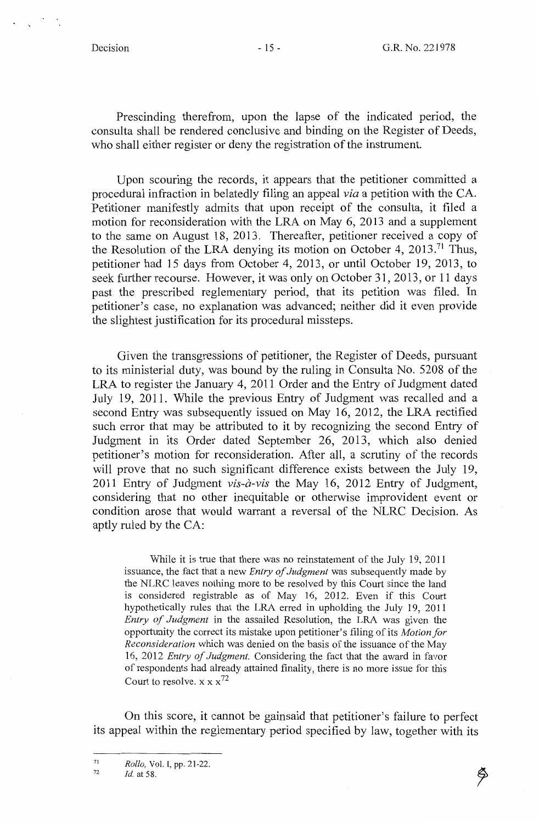Prescinding therefrom, upon the lapse of the indicated period, the consulta shall be rendered conclusive and binding on the Register of Deeds, who shall either register or deny the registration of the instrument.

Upon scouring the records, it appears that the petitioner committed a procedural infraction in belatedly filing an appeal *via* a petition with the CA. Petitioner manifestly admits that upon receipt of the consulta, it filed a motion for reconsideration with the LRA on May 6, 2013 and a supplement to the same on August 18, 2013. Thereafter, petitioner received a copy of the Resolution of the LRA denying its motion on October 4, 2013.<sup>71</sup> Thus, petitioner had 15 days from October 4, 2013, or until October 19, 2013, to seek further recourse. However, it was only on October 31, 2013, or 11 days past the prescribed reglementary period, that its petition was filed. In petitioner's case, no explanation was advanced; neither did it even provide the slightest justification for its procedural missteps.

Given the transgressions of petitioner, the Register of Deeds, pursuant to its ministerial duty, was bound by the ruling in Consulta No. 5208 of the LRA to register the January 4, 2011 Order and the Entry of Judgment dated July 19, 2011. While the previous Entry of Judgment was recalled and a second Entry was subsequently issued on May 16, 2012, the LRA rectified such error that may be attributed to it by recognizing the second Entry of Judgment in its Order dated September 26, 2013, which also denied petitioner's motion for reconsideration. After all, a scrutiny of the records will prove that no such significant difference exists between the July 19, 2011 Entry of Judgment *vis-a-vis* the May 16, 2012 Entry of Judgment, considering that no other inequitable or otherwise improvident event or condition arose that would warrant a reversal of the NLRC Decision. As aptly ruled by the CA:

While it is true that there was no reinstatement of the July 19, 2011 issuance, the fact that a new *Entry of Judgment* was subsequently made by the NLRC leaves nothing more to be resolved by this Court since the land is considered registrable as of May 16, 2012. Even if this Court hypothetically rules that the LRA erred in upholding the July 19, 2011 *Entry of Judgment* in the assailed Resolution, the LRA was given the opportunity the correct its mistake upon petitioner's filing of its *Motion for Reconsideration* which was denied on the basis of the issuance of the May 16, 2012 *Entry of Judgment.* Considering the fact that the award in favor of respondents had already attained finality, there is no more issue for this Court to resolve.  $x x x^{72}$ 

On this score, it cannot be gainsaid that petitioner's failure to perfect its appeal within the reglementary period specified by law, together with its

72 *Id.* at 58.

<sup>71</sup>  *Rollo,* Vol. I, pp. 21-22.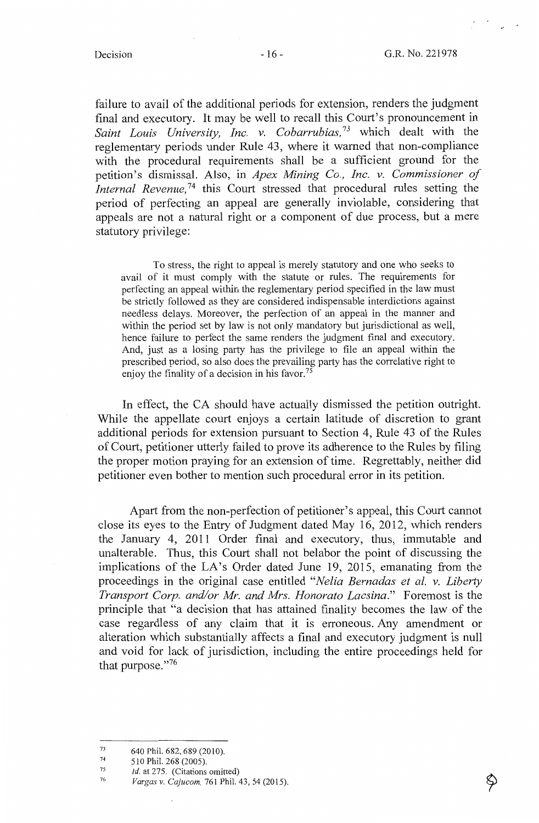failure to avail of the additional periods for extension, renders the judgment final and executory. It may be well to recall this Court's pronouncement in Saint Louis University, Inc. v. Cobarrubias,<sup>73</sup> which dealt with the reglementary periods under Rule 43, where it warned that non-compliance with the procedural requirements shall be a sufficient ground for the petition's dismissal. Also, in *Apex Mining Co., Inc. v. Commissioner of Internal Revenue*<sup>74</sup> this Court stressed that procedural rules setting the period of perfecting an appeal are generally inviolable, considering that appeals are not a natural right or a component of due process, but a mere statutory privilege:

To stress, the right to appeal is merely statutory and one who seeks to avail of it must comply with the statute or rules. The requirements for perfecting an appeal within the reglementary period specified in the law must be strictly followed as they are considered indispensable interdictions against needless delays. Moreover, the perfection of an appeal in the manner and within the period set by law is not only mandatory but jurisdictional as well, hence failure to perfect the same renders the judgment final and executory. And, just as a losing party has the privilege to file an appeal within the prescribed period, so also does the prevailing party has the correlative right to enjoy the finality of a decision in his favor.<sup>75</sup>

In effect, the CA should have actually dismissed the petition outright. While the appellate court enjoys a certain latitude of discretion to grant additional periods for extension pursuant to Section 4, Rule 43 of the Rules of Court, petitioner utterly failed to prove its adherence to the Rules by filing the proper motion praying for an extension of time. Regrettably, neither did petitioner even bother to mention such procedural error in its petition.

Apart from the non-perfection of petitioner's appeal, this Court cannot close its eyes to the Entry of Judgment dated May 16, 2012, which renders the January 4, 2011 Order final and executory, thus, immutable and unalterable. Thus, this Court shall not belabor the point of discussing the implications of the LA's Order dated June 19, 2015, emanating from the proceedings in the original case entitled *"Nelia Bernadas et al. v. Liberty Transport Corp. and/or Mr. and Mrs. Honorato Lacsina."* Foremost is the principle that "a decision that has attained finality becomes the law of the case regardless of any claim that it is erroneous. Any amendment or alteration which substantially affects a final and executory judgment is null and void for lack of jurisdiction, including the entire proceedings held for that purpose."76

75 *Id.* at 275. (Citations omitted)

的

<sup>73</sup>  640 Phil. 682, 689 (2010).

<sup>74</sup>  510 Phil. 268 (2005).

<sup>76</sup>  *Vargas v. Cajucom,* 761 Phil. 43, 54 (2015).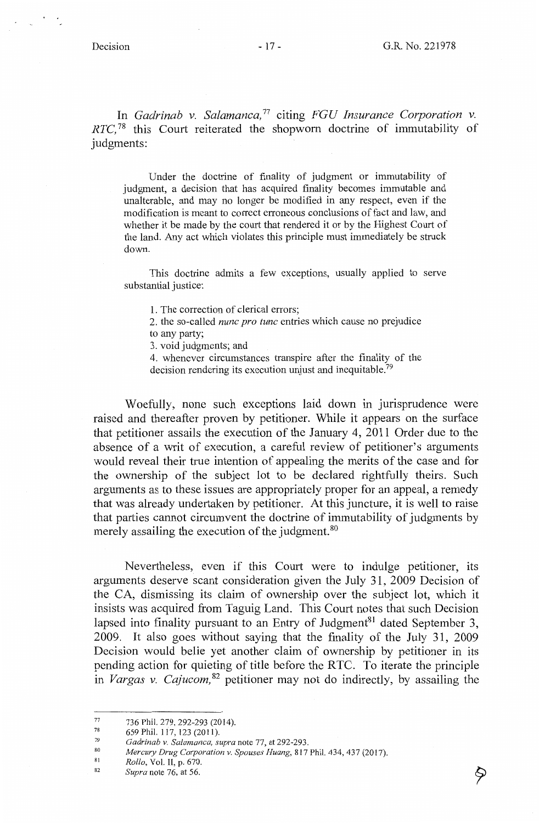In *Gadrinab v. Salamanca*,<sup>77</sup> citing *FGU Insurance Corporation v. RTC*,<sup>78</sup> this Court reiterated the shopworn doctrine of immutability of judgments:

Under the doctrine of finality of judgment or immutability of judgment, a decision that has acquired finality becomes immutable and unalterable, and may no longer be modified in any respect, even if the modification is meant to correct erroneous conclusions of fact and law, and whether it be made by the court that rendered it or by the Highest Court of the land. Any act which violates this principle must immediately be struck down.

This doctrine admits a few exceptions, usually applied to serve substantial justice:

1. The correction of clerical errors;

2. the so-called *nunc pro tune* entries which cause no prejudice to any party;

3. void judgments; and

4. whenever circumstances transpire after the finality of the decision rendering its execution unjust and inequitable.<sup>79</sup>

Woefully, none such exceptions laid down in jurisprudence were raised and thereafter proven by petitioner. While it appears on the surface that petitioner assails the execution of the January 4, 2011 Order due to the absence of a writ of execution, a careful review of petitioner's arguments would reveal their true intention of appealing the merits of the case and for the ownership of the subject lot to be declared rightfully theirs. Such arguments as to these issues are appropriately proper for an appeal, a remedy that was already undertaken by petitioner. At this juncture, it is well to raise that parties cannot circumvent the doctrine of immutability of judgments by merely assailing the execution of the judgment.<sup>80</sup>

Nevertheless, even if this Court were to indulge petitioner, its arguments deserve scant consideration given the July 31, 2009 Decision of the CA, dismissing its claim of ownership over the subject lot, which it insists was acquired from Taguig Land. This Court notes that such Decision lapsed into finality pursuant to an Entry of Judgment<sup>81</sup> dated September 3, 2009. It also goes without saying that the finality of the July 31, 2009 Decision would belie yet another claim of ownership by petitioner in its pending action for quieting of title before the RTC. To iterate the principle in *Vargas v. Cajucom,* 82 petitioner may not do indirectly, by assailing the

- 81 *Rollo,* Vol. II, p. 670.
- 82 *Supra* note 76, at 56.

<sup>77</sup>  736 Phil. 279, 292-293 (2014).

<sup>78</sup>  659 Phil. 117, 123(2011).

<sup>79</sup>  *Gadrinab v. Salamanca, supra* note 77, at 292-293.

<sup>80</sup>  *Mercury Drug Corporation v. Spouses Huang,* 817 Phil. 434,437 (2017).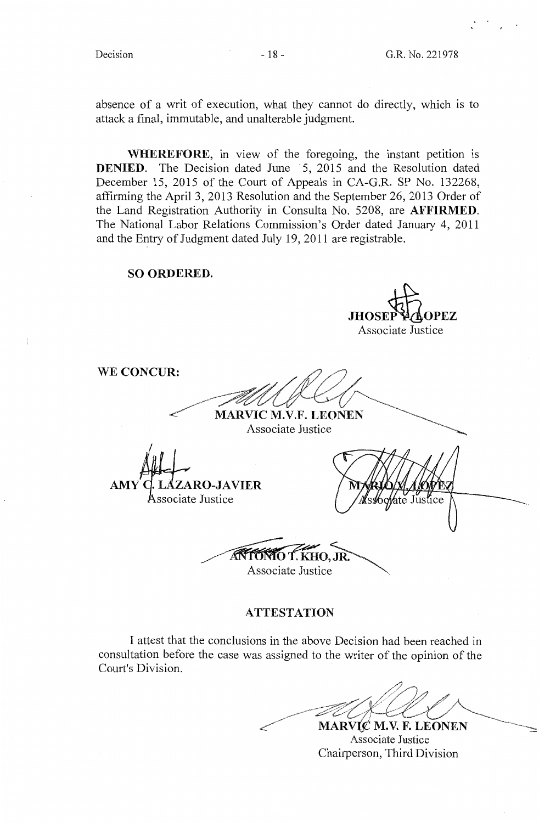$\frac{1}{2}$ 

**JHOSEP PLAOPEZ** Associate Justice

absence of a writ of execution, what they cannot do directly, which is to attack a final, immutable, and unalterable judgment.

**WHEREFORE,** in view of the foregoing, the instant petition is **DENIED.** The Decision dated June 5, 2015 and the Resolution dated December 15, 2015 of the Court of Appeals in CA-G.R. SP No. 132268, affirming the April 3, 2013 Resolution and the September 26, 2013 Order of the Land Registration Authority in Consulta No. 5208, are **AFFIRMED.**  The National Labor Relations Commission's Order dated January 4, 2011 and the Entry of Judgment dated July 19, 2011 are registrable.

**SO ORDERED.** 

**ANARVIC M.V.F. LEONEN WE CONCUR: ZARO-JAVIER AMY**  Associate Justice o/ate Justice  $O, \overline{J}R$ **TONIO T. KHO, JR.**<br>Associate Justice

## **ATTESTATION**

I attest that the conclusions in the above Decision had been reached in consultation before the case was assigned to the writer of the opinion of the Court's Division.

MARVIC M.V. F. LEONEN

Associate Justice Chairperson, Third Division